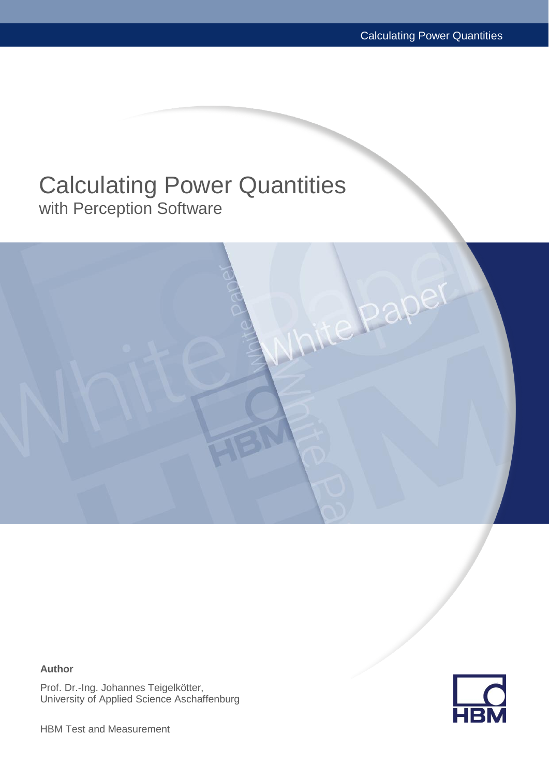## Calculating Power Quantities with Perception Software



**Author**

Prof. Dr.-Ing. Johannes Teigelkötter, University of Applied Science Aschaffenburg

HBM Test and Measurement

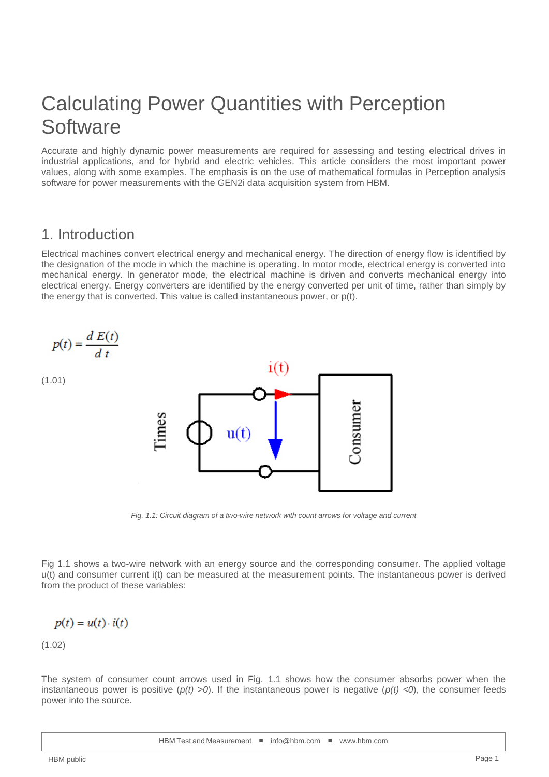# Calculating Power Quantities with Perception **Software**

Accurate and highly dynamic power measurements are required for assessing and testing electrical drives in industrial applications, and for hybrid and electric vehicles. This article considers the most important power values, along with some examples. The emphasis is on the use of mathematical formulas in Perception analysis software for power measurements with the GEN2i data acquisition system from HBM.

#### 1. Introduction

Electrical machines convert electrical energy and mechanical energy. The direction of energy flow is identified by the designation of the mode in which the machine is operating. In motor mode, electrical energy is converted into mechanical energy. In generator mode, the electrical machine is driven and converts mechanical energy into electrical energy. Energy converters are identified by the energy converted per unit of time, rather than simply by the energy that is converted. This value is called instantaneous power, or p(t).



*Fig. 1.1: Circuit diagram of a two-wire network with count arrows for voltage and current*

Fig 1.1 shows a two-wire network with an energy source and the corresponding consumer. The applied voltage u(t) and consumer current i(t) can be measured at the measurement points. The instantaneous power is derived from the product of these variables:

$$
p(t) = u(t) \cdot i(t)
$$

 $(1.02)$ 

The system of consumer count arrows used in Fig. 1.1 shows how the consumer absorbs power when the instantaneous power is positive  $(p(t) > 0)$ . If the instantaneous power is negative  $(p(t) < 0)$ , the consumer feeds power into the source.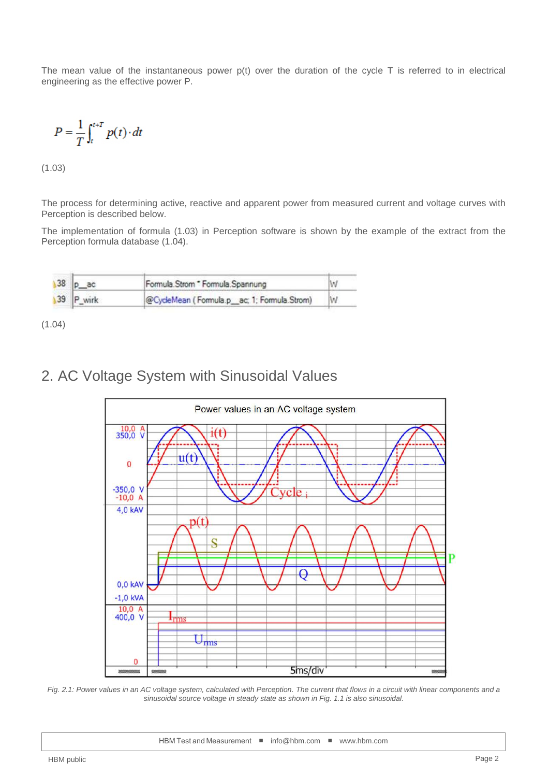The mean value of the instantaneous power  $p(t)$  over the duration of the cycle T is referred to in electrical engineering as the effective power P.

$$
P = \frac{1}{T} \int_{t}^{t+T} p(t) \cdot dt
$$

 $(1.03)$ 

The process for determining active, reactive and apparent power from measured current and voltage curves with Perception is described below.

The implementation of formula (1.03) in Perception software is shown by the example of the extract from the Perception formula database (1.04).

|  | 38 p ac   | Formula.Strom * Formula.Spannung            |  |
|--|-----------|---------------------------------------------|--|
|  | 39 P_wirk | @CycleMean (Formula.p_ac; 1; Formula.Strom) |  |

(1.04)

## 2. AC Voltage System with Sinusoidal Values



Fig. 2.1: Power values in an AC voltage system, calculated with Perception. The current that flows in a circuit with linear components and a *sinusoidal source voltage in steady state as shown in Fig. 1.1 is also sinusoidal.*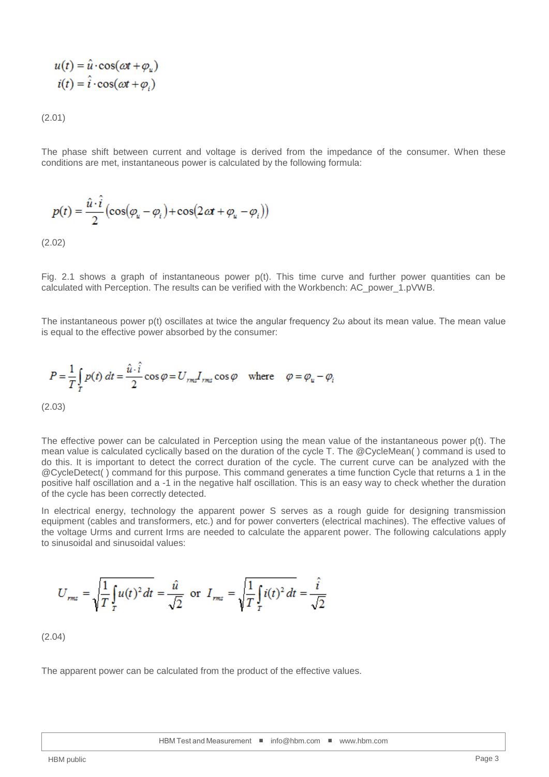$$
u(t) = \hat{u} \cdot \cos(\omega t + \varphi_u)
$$

$$
i(t) = \hat{i} \cdot \cos(\omega t + \varphi_i)
$$

(2.01)

The phase shift between current and voltage is derived from the impedance of the consumer. When these conditions are met, instantaneous power is calculated by the following formula:

$$
p(t) = \frac{\hat{u} \cdot \hat{i}}{2} \left( \cos(\varphi_u - \varphi_i) + \cos(2\alpha t + \varphi_u - \varphi_i) \right)
$$

(2.02)

Fig. 2.1 shows a graph of instantaneous power p(t). This time curve and further power quantities can be calculated with Perception. The results can be verified with the Workbench: AC\_power\_1.pVWB.

The instantaneous power p(t) oscillates at twice the angular frequency 2ω about its mean value. The mean value is equal to the effective power absorbed by the consumer:

$$
P = \frac{1}{T} \int_{T} p(t) dt = \frac{\hat{u} \cdot \hat{i}}{2} \cos \varphi = U_{rms} I_{rms} \cos \varphi \quad \text{where} \quad \varphi = \varphi_{u} - \varphi_{\hat{i}}
$$

(2.03)

The effective power can be calculated in Perception using the mean value of the instantaneous power p(t). The mean value is calculated cyclically based on the duration of the cycle T. The @CycleMean( ) command is used to do this. It is important to detect the correct duration of the cycle. The current curve can be analyzed with the @CycleDetect( ) command for this purpose. This command generates a time function Cycle that returns a 1 in the positive half oscillation and a -1 in the negative half oscillation. This is an easy way to check whether the duration of the cycle has been correctly detected.

In electrical energy, technology the apparent power S serves as a rough guide for designing transmission equipment (cables and transformers, etc.) and for power converters (electrical machines). The effective values of the voltage Urms and current Irms are needed to calculate the apparent power. The following calculations apply to sinusoidal and sinusoidal values:

$$
U_{\text{rms}} = \sqrt{\frac{1}{T} \int_{T} u(t)^2 dt} = \frac{\hat{u}}{\sqrt{2}} \text{ or } I_{\text{rms}} = \sqrt{\frac{1}{T} \int_{T} i(t)^2 dt} = \frac{\hat{i}}{\sqrt{2}}
$$

(2.04)

The apparent power can be calculated from the product of the effective values.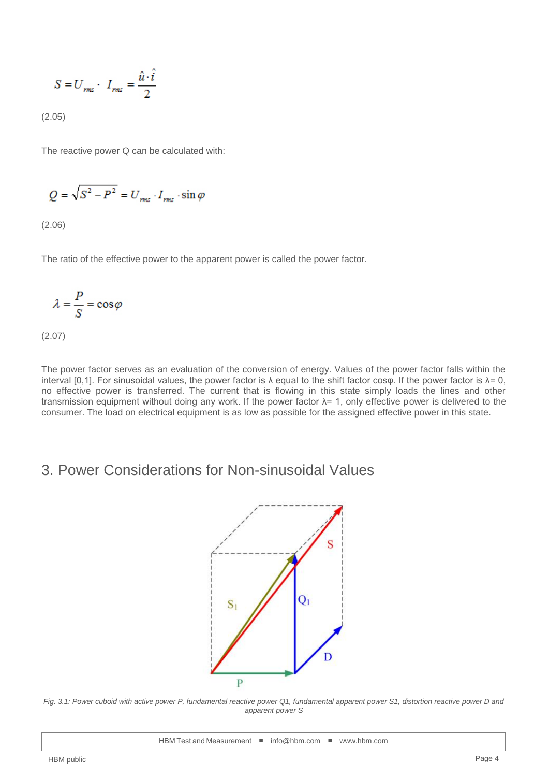$$
S = U_{rms} \cdot I_{rms} = \frac{\hat{u} \cdot \hat{i}}{2}
$$

(2.05)

The reactive power Q can be calculated with:

$$
Q = \sqrt{S^2 - P^2} = U_{rms} \cdot I_{rms} \cdot \sin \varphi
$$

(2.06)

The ratio of the effective power to the apparent power is called the power factor.

$$
\lambda = \frac{P}{S} = \cos \varphi
$$

(2.07)

The power factor serves as an evaluation of the conversion of energy. Values of the power factor falls within the interval [0,1]. For sinusoidal values, the power factor is λ equal to the shift factor cosφ. If the power factor is  $\lambda = 0$ , no effective power is transferred. The current that is flowing in this state simply loads the lines and other transmission equipment without doing any work. If the power factor λ= 1, only effective power is delivered to the consumer. The load on electrical equipment is as low as possible for the assigned effective power in this state.

#### 3. Power Considerations for Non-sinusoidal Values



*Fig. 3.1: Power cuboid with active power P, fundamental reactive power Q1, fundamental apparent power S1, distortion reactive power D and apparent power S*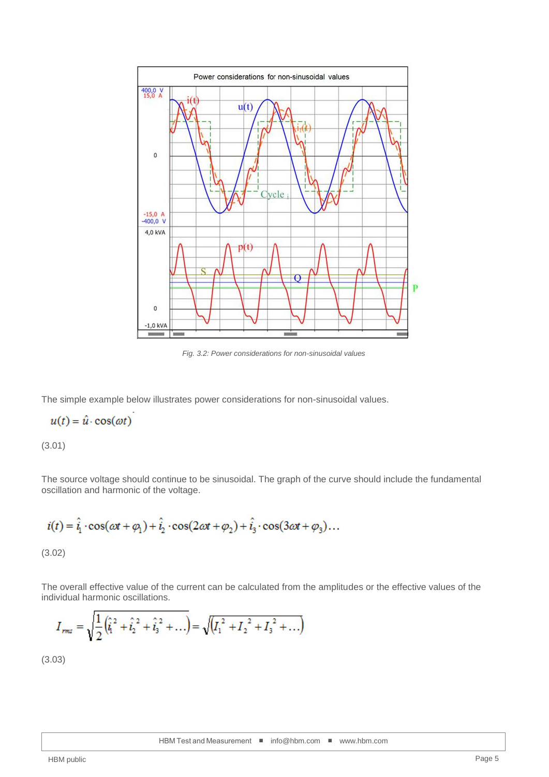

*Fig. 3.2: Power considerations for non-sinusoidal values*

The simple example below illustrates power considerations for non-sinusoidal values.

$$
u(t) = \hat{u} \cdot \cos(\omega t)
$$

J.

(3.01)

The source voltage should continue to be sinusoidal. The graph of the curve should include the fundamental oscillation and harmonic of the voltage.

$$
i(t) = \hat{i}_1 \cdot \cos(\omega t + \varphi_1) + \hat{i}_2 \cdot \cos(2\omega t + \varphi_2) + \hat{i}_3 \cdot \cos(3\omega t + \varphi_3) \dots
$$
\n(3.02)

The overall effective value of the current can be calculated from the amplitudes or the effective values of the individual harmonic oscillations.

$$
I_{rms} = \sqrt{\frac{1}{2}(\hat{i}_1^2 + \hat{i}_2^2 + \hat{i}_3^2 + \ldots)} = \sqrt{(I_1^2 + I_2^2 + I_3^2 + \ldots)}
$$

(3.03)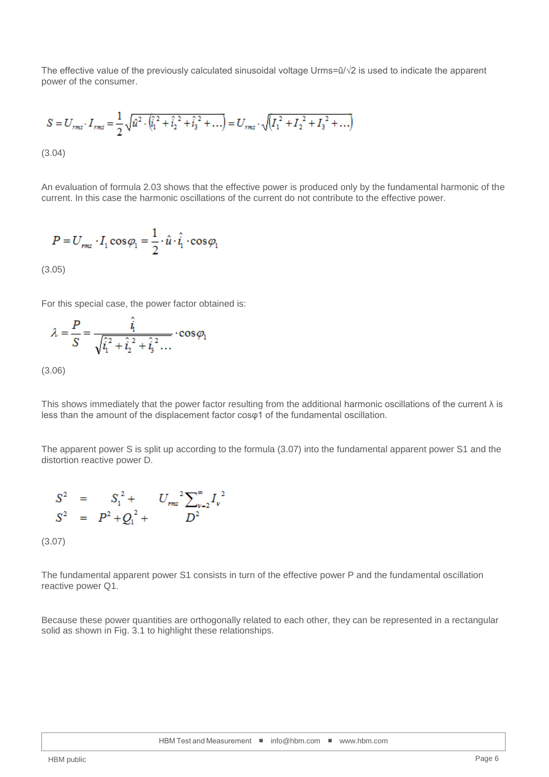The effective value of the previously calculated sinusoidal voltage Urms=û/√2 is used to indicate the apparent power of the consumer.

$$
S = U_{rms} \cdot I_{rms} = \frac{1}{2} \sqrt{\hat{u}^2 \cdot (\hat{i}_1^2 + \hat{i}_2^2 + \hat{i}_3^2 + \dots)} = U_{rms} \cdot \sqrt{(I_1^2 + I_2^2 + I_3^2 + \dots)}
$$
\n(3.04)

An evaluation of formula 2.03 shows that the effective power is produced only by the fundamental harmonic of the current. In this case the harmonic oscillations of the current do not contribute to the effective power.

$$
P = U_{rms} \cdot I_1 \cos \varphi_1 = \frac{1}{2} \cdot \hat{u} \cdot \hat{i}_1 \cdot \cos \varphi_1
$$

(3.05)

For this special case, the power factor obtained is:

$$
\lambda = \frac{P}{S} = \frac{\hat{i}_1}{\sqrt{\hat{i}_1^2 + \hat{i}_2^2 + \hat{i}_3^2 \dots}} \cdot \cos \varphi_1
$$

(3.06)

This shows immediately that the power factor resulting from the additional harmonic oscillations of the current  $\lambda$  is less than the amount of the displacement factor cosφ1 of the fundamental oscillation.

The apparent power S is split up according to the formula (3.07) into the fundamental apparent power S1 and the distortion reactive power D.

$$
S^{2} = S_{1}^{2} + U_{rms}^{2} \sum_{v=2}^{\infty} I_{v}^{2}
$$
  

$$
S^{2} = P^{2} + Q_{1}^{2} + D^{2}
$$

(3.07)

The fundamental apparent power S1 consists in turn of the effective power P and the fundamental oscillation reactive power Q1.

Because these power quantities are orthogonally related to each other, they can be represented in a rectangular solid as shown in Fig. 3.1 to highlight these relationships.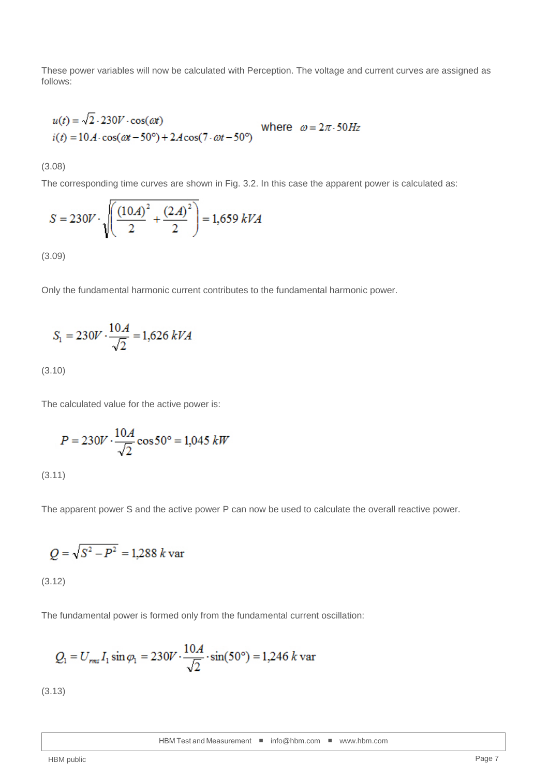These power variables will now be calculated with Perception. The voltage and current curves are assigned as follows:

$$
u(t) = \sqrt{2.230V \cdot \cos(\omega t)}
$$
 where  $\omega = 2\pi.50Hz$   

$$
i(t) = 10A \cdot \cos(\omega t - 50^\circ) + 2A\cos(7 \cdot \omega t - 50^\circ)
$$

(3.08)

The corresponding time curves are shown in Fig. 3.2. In this case the apparent power is calculated as:

$$
S = 230V \cdot \sqrt{\left(\frac{(10A)^2}{2} + \frac{(2A)^2}{2}\right)} = 1,659 \ kVA
$$

(3.09)

Only the fundamental harmonic current contributes to the fundamental harmonic power.

$$
S_1 = 230V \cdot \frac{10A}{\sqrt{2}} = 1,626 \ kVA
$$

(3.10)

The calculated value for the active power is:

$$
P = 230V \cdot \frac{10A}{\sqrt{2}} \cos 50^{\circ} = 1,045 \; kW
$$

(3.11)

The apparent power S and the active power P can now be used to calculate the overall reactive power.

$$
Q = \sqrt{S^2 - P^2} = 1.288 k \text{ var}
$$

(3.12)

The fundamental power is formed only from the fundamental current oscillation:

$$
Q_1 = U_{rms} I_1 \sin \varphi_1 = 230 V \cdot \frac{10 A}{\sqrt{2}} \cdot \sin(50^\circ) = 1,246 k \text{ var}
$$

(3.13)